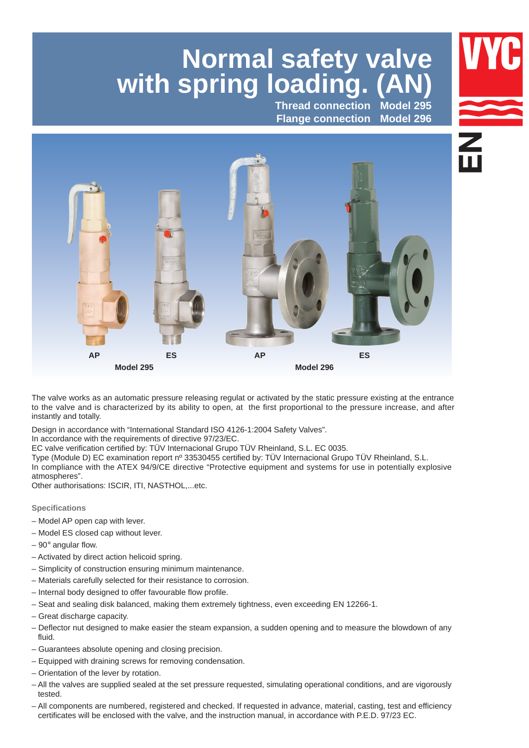# **Normal safety valve with spring loading. (AN)**

**Thread connection Flange connection**





The valve works as an automatic pressure releasing regulat or activated by the static pressure existing at the entrance to the valve and is characterized by its ability to open, at the first proportional to the pressure increase, and after instantly and totally.

Design in accordance with "International Standard ISO 4126-1:2004 Safety Valves".

In accordance with the requirements of directive 97/23/EC.

EC valve verification certified by: TÜV Internacional Grupo TÜV Rheinland, S.L. EC 0035. 

Type (Module D) EC examination report nº 33530455 certified by: TÜV Internacional Grupo TÜV Rheinland, S.L. 

In compliance with the ATEX 94/9/CE directive "Protective equipment and systems for use in potentially explosive atmospheres".

Other authorisations: ISCIR, ITI, NASTHOL,...etc.

#### **Specifications**

- Model AP open cap with lever.
- Model ES closed cap without lever.
- $-90^\circ$  angular flow.
- Activated by direct action helicoid spring.
- Simplicity of construction ensuring minimum maintenance.
- Materials carefully selected for their resistance to corrosion.
- Internal body designed to offer favourable flow profile.
- Seat and sealing disk balanced, making them extremely tightness, even exceeding EN 12266-1.
- Great discharge capacity.
- Deflector nut designed to make easier the steam expansion, a sudden opening and to measure the blowdown of any fluid.
- Guarantees absolute opening and closing precision.
- Equipped with draining screws for removing condensation.
- Orientation of the lever by rotation.
- All the valves are supplied sealed at the set pressure requested, simulating operational conditions, and are vigorously tested.
- All components are numbered, registered and checked. If requested in advance, material, casting, test and efficiency certificates will be enclosed with the valve, and the instruction manual, in accordance with P.E.D. 97/23 EC.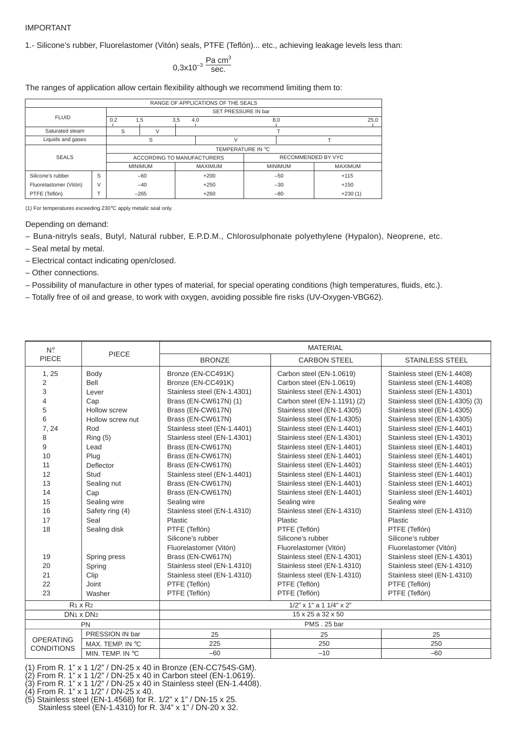#### IMPORTANT

1.- Silicone's rubber, Fluorelastomer (Vitón) seals, PTFE (Teflón)... etc., achieving leakage levels less than:

$$
0.3x10^{-3} \frac{\text{Pa cm}^3}{\text{sec.}}
$$

The ranges of application allow certain flexibility although we recommend limiting them to:

| RANGE OF APPLICATIONS OF THE SEALS |        |                     |                            |     |                |       |                    |                |  |  |  |
|------------------------------------|--------|---------------------|----------------------------|-----|----------------|-------|--------------------|----------------|--|--|--|
| <b>FLUID</b>                       |        | SET PRESSURE IN bar |                            |     |                |       |                    |                |  |  |  |
|                                    |        | 0,2<br>1.5          |                            | 3,5 | 4,0            | 8,0   |                    | 25,0           |  |  |  |
| Saturated steam                    |        | S                   |                            |     |                |       |                    |                |  |  |  |
| Liquids and gases                  |        |                     | S                          |     | $\vee$         |       |                    |                |  |  |  |
|                                    |        | TEMPERATURE IN °C   |                            |     |                |       |                    |                |  |  |  |
| <b>SEALS</b>                       |        |                     | ACCORDING TO MANUFACTURERS |     |                |       | RECOMMENDED BY VYC |                |  |  |  |
|                                    |        |                     | <b>MINIMUM</b>             |     | <b>MAXIMUM</b> |       | <b>MINIMUM</b>     | <b>MAXIMUM</b> |  |  |  |
| Silicone's rubber                  | S      | $-60$               |                            |     | $+200$         | $-50$ |                    | $+115$         |  |  |  |
| Fluorelastomer (Vitón)             | $\vee$ | $-40$               |                            |     | $+250$         | $-30$ |                    | $+150$         |  |  |  |
| PTFE (Teflón)                      |        |                     | $-265$                     |     | $+260$         |       | $-80$              | $+230(1)$      |  |  |  |

(1) For temperatures exceeding 230°C apply metalic seal only.

Depending on demand:

- Buna-nitryls seals, Butyl, Natural rubber, E.P.D.M., Chlorosulphonate polyethylene (Hypalon), Neoprene, etc.
- Seal metal by metal.
- Electrical contact indicating open/closed.
- Other connections.
- Possibility of manufacture in other types of material, for special operating conditions (high temperatures, fluids, etc.).
- Totally free of oil and grease, to work with oxygen, avoiding possible fire risks (UV-Oxygen-VBG62).

| $N^{\circ}$       | PIECE                             | <b>MATERIAL</b>                 |                              |                                 |  |  |  |  |  |  |
|-------------------|-----------------------------------|---------------------------------|------------------------------|---------------------------------|--|--|--|--|--|--|
| PIECE             |                                   | <b>BRONZE</b>                   | <b>CARBON STEEL</b>          | <b>STAINLESS STEEL</b>          |  |  |  |  |  |  |
| 1, 25             | Body                              | Bronze (EN-CC491K)              | Carbon steel (EN-1.0619)     | Stainless steel (EN-1.4408)     |  |  |  |  |  |  |
| $\overline{2}$    | Bell                              | Bronze (EN-CC491K)              | Carbon steel (EN-1.0619)     | Stainless steel (EN-1.4408)     |  |  |  |  |  |  |
| 3                 | Lever                             | Stainless steel (EN-1.4301)     | Stainless steel (EN-1.4301)  | Stainless steel (EN-1.4301)     |  |  |  |  |  |  |
| 4                 | Cap                               | Brass (EN-CW617N) (1)           | Carbon steel (EN-1.1191) (2) | Stainless steel (EN-1.4305) (3) |  |  |  |  |  |  |
| 5                 | Hollow screw                      | Brass (EN-CW617N)               | Stainless steel (EN-1.4305)  | Stainless steel (EN-1.4305)     |  |  |  |  |  |  |
| 6                 | Hollow screw nut                  | Brass (EN-CW617N)               | Stainless steel (EN-1.4305)  | Stainless steel (EN-1.4305)     |  |  |  |  |  |  |
| 7, 24             | Rod                               | Stainless steel (EN-1.4401)     | Stainless steel (EN-1.4401)  | Stainless steel (EN-1.4401)     |  |  |  |  |  |  |
| 8                 | Ring(5)                           | Stainless steel (EN-1.4301)     | Stainless steel (EN-1.4301)  | Stainless steel (EN-1.4301)     |  |  |  |  |  |  |
| 9                 | Lead                              | Brass (EN-CW617N)               | Stainless steel (EN-1.4401)  | Stainless steel (EN-1.4401)     |  |  |  |  |  |  |
| 10                | Plug                              | Brass (EN-CW617N)               | Stainless steel (EN-1.4401)  | Stainless steel (EN-1.4401)     |  |  |  |  |  |  |
| 11                | Deflector                         | Brass (EN-CW617N)               | Stainless steel (EN-1.4401)  | Stainless steel (EN-1.4401)     |  |  |  |  |  |  |
| 12                | Stud                              | Stainless steel (EN-1.4401)     | Stainless steel (EN-1.4401)  | Stainless steel (EN-1.4401)     |  |  |  |  |  |  |
| 13                | Sealing nut                       | Brass (EN-CW617N)               | Stainless steel (EN-1.4401)  | Stainless steel (EN-1.4401)     |  |  |  |  |  |  |
| 14                | Cap                               | Brass (EN-CW617N)               | Stainless steel (EN-1.4401)  | Stainless steel (EN-1.4401)     |  |  |  |  |  |  |
| 15                | Sealing wire                      | Sealing wire                    | Sealing wire                 | Sealing wire                    |  |  |  |  |  |  |
| 16                | Safety ring (4)                   | Stainless steel (EN-1.4310)     | Stainless steel (EN-1.4310)  | Stainless steel (EN-1.4310)     |  |  |  |  |  |  |
| 17                | Seal                              | Plastic                         | Plastic                      | Plastic                         |  |  |  |  |  |  |
| 18                | Sealing disk                      | PTFE (Teflón)                   | PTFE (Teflón)                | PTFE (Teflón)                   |  |  |  |  |  |  |
|                   |                                   | Silicone's rubber               | Silicone's rubber            | Silicone's rubber               |  |  |  |  |  |  |
|                   |                                   | Fluorelastomer (Vitón)          | Fluorelastomer (Vitón)       | Fluorelastomer (Vitón)          |  |  |  |  |  |  |
| 19                | Spring press                      | Brass (EN-CW617N)               | Stainless steel (EN-1.4301)  | Stainless steel (EN-1.4301)     |  |  |  |  |  |  |
| 20                | Spring                            | Stainless steel (EN-1.4310)     | Stainless steel (EN-1.4310)  | Stainless steel (EN-1.4310)     |  |  |  |  |  |  |
| 21                | Clip                              | Stainless steel (EN-1.4310)     | Stainless steel (EN-1.4310)  | Stainless steel (EN-1.4310)     |  |  |  |  |  |  |
| 22                | Joint                             | PTFE (Teflón)                   | PTFE (Teflón)                | PTFE (Teflón)                   |  |  |  |  |  |  |
| 23                | Washer                            | PTFE (Teflón)                   | PTFE (Teflón)                | PTFE (Teflón)                   |  |  |  |  |  |  |
|                   | $R_1 \times R_2$                  | $1/2$ " x 1" a 1 $1/4$ " x 2"   |                              |                                 |  |  |  |  |  |  |
|                   | DN <sub>1</sub> x DN <sub>2</sub> | $15 \times 25$ a $32 \times 50$ |                              |                                 |  |  |  |  |  |  |
|                   | PN                                |                                 | PMS. 25 bar                  |                                 |  |  |  |  |  |  |
| <b>OPERATING</b>  | PRESSION IN bar                   | 25                              | 25                           | 25                              |  |  |  |  |  |  |
| <b>CONDITIONS</b> | MAX. TEMP. IN °C                  | 225                             | 250                          | 250                             |  |  |  |  |  |  |
|                   | MIN. TEMP. IN °C                  | $-60$                           | $-10$                        | $-60$                           |  |  |  |  |  |  |

(1) From R. 1" x 1 1/2" / DN-25 x 40 in Bronze (EN-CC754S-GM).

- (2) From R. 1" x 1 1/2" / DN-25 x 40 in Carbon steel (EN-1.0619).
- (3) From R. 1" x 1 1/2" / DN-25 x 40 in Stainless steel (EN-1.4408).

(4) From R. 1" x 1 1/2" / DN-25 x 40.

(5) Stainless steel (EN-1.4568) for R. 1/2" x 1" / DN-15 x 25. Stainless steel (EN-1.4310) for R. 3/4" x 1" / DN-20 x 32.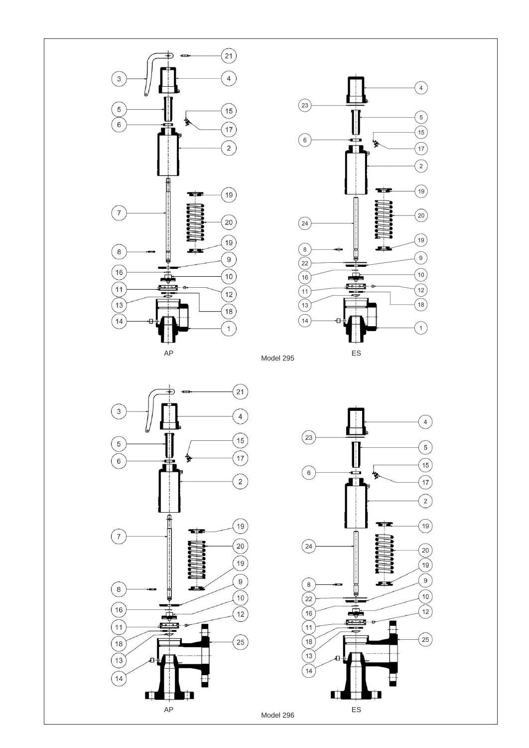





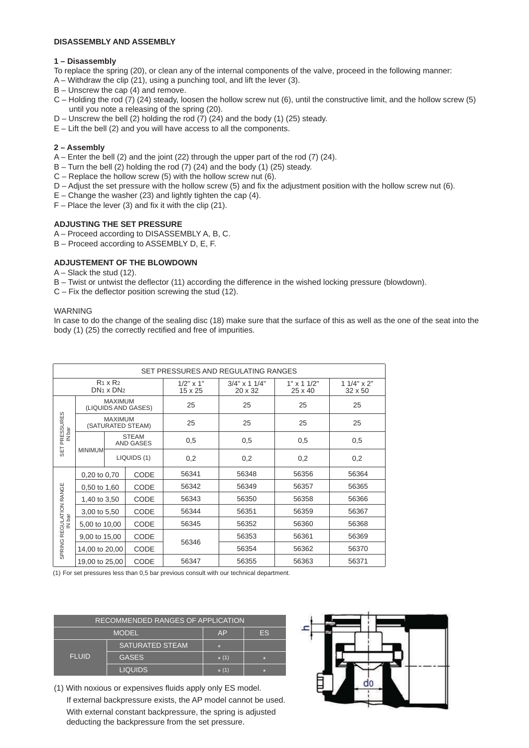### **DISASSEMBLY AND ASSEMBLY**

### **1 – Disassembly**

- To replace the spring (20), or clean any of the internal components of the valve, proceed in the following manner:
- A Withdraw the clip (21), using a punching tool, and lift the lever (3).
- B Unscrew the cap (4) and remove.
- C Holding the rod (7) (24) steady, loosen the hollow screw nut (6), until the constructive limit, and the hollow screw (5) until you note a releasing of the spring (20).
- $D$  Unscrew the bell (2) holding the rod (7) (24) and the body (1) (25) steady.
- $E -$  Lift the bell (2) and you will have access to all the components.

# **2 – Assembly**

- A Enter the bell (2) and the joint (22) through the upper part of the rod (7) (24).
- $B -$ Turn the bell (2) holding the rod (7) (24) and the body (1) (25) steady.
- $C$  Replace the hollow screw (5) with the hollow screw nut (6).
- D Adjust the set pressure with the hollow screw (5) and fix the adjustment position with the hollow screw nut (6).
- $E -$ Change the washer (23) and lightly tighten the cap (4).
- $F -$  Place the lever (3) and fix it with the clip (21).

# **ADJUSTING THE SET PRESSURE**

- A Proceed according to DISASSEMBLY A, B, C.
- B Proceed according to ASSEMBLY D, E, F.

# **ADJUSTEMENT OF THE BLOWDOWN**

- A Slack the stud (12).
- B Twist or untwist the deflector (11) according the difference in the wished locking pressure (blowdown).
- C Fix the deflector position screwing the stud (12).

#### WARNING

In case to do the change of the sealing disc (18) make sure that the surface of this as well as the one of the seat into the body (1) (25) the correctly rectified and free of impurities.

|                         | SET PRESSURES AND REGULATING RANGES   |                                              |                   |                             |                             |                              |       |       |       |  |  |
|-------------------------|---------------------------------------|----------------------------------------------|-------------------|-----------------------------|-----------------------------|------------------------------|-------|-------|-------|--|--|
|                         |                                       | $R_1 \times R_2$<br>$DN_1 \times DN_2$       |                   | $1/2" \times 1"$<br>15 x 25 | $3/4$ " x 1 1/4"<br>20 x 32 | $1" \times 11/2"$<br>25 x 40 |       |       |       |  |  |
|                         | <b>MAXIMUM</b><br>(LIQUIDS AND GASES) |                                              |                   | 25                          | 25                          | 25                           | 25    |       |       |  |  |
| PRESSURES               |                                       | <b>MAXIMUM</b>                               | (SATURATED STEAM) | 25                          | 25                          | 25                           | 25    |       |       |  |  |
| IN bar                  |                                       | <b>STEAM</b><br>AND GASES                    |                   | 0,5                         | 0,5                         | 0,5                          | 0,5   |       |       |  |  |
| SET                     | <b>MINIMUM</b>                        |                                              | LIQUIDS (1)       | 0,2                         | 0,2                         | 0,2                          | 0,2   |       |       |  |  |
|                         |                                       | CODE<br>0,20 to 0,70<br>CODE<br>0,50 to 1,60 |                   | 56341                       | 56348                       | 56356                        | 56364 |       |       |  |  |
|                         |                                       |                                              |                   |                             |                             | 56342                        | 56349 | 56357 | 56365 |  |  |
|                         | 1,40 to 3,50                          | CODE                                         |                   | 56343                       | 56350                       | 56358                        | 56366 |       |       |  |  |
|                         | 3,00 to 5,50                          | CODE                                         |                   | 56344                       | 56351                       | 56359                        | 56367 |       |       |  |  |
| IN bar                  | 5,00 to 10,00                         | CODE                                         |                   | 56345                       | 56352                       | 56360                        | 56368 |       |       |  |  |
|                         | 9,00 to 15,00                         | CODE<br>CODE                                 |                   |                             | 56353                       | 56361                        | 56369 |       |       |  |  |
| SPRING REGULATION RANGE | 14,00 to 20,00                        |                                              |                   | 56346                       | 56354                       | 56362                        | 56370 |       |       |  |  |
|                         | 19,00 to 25,00                        |                                              | CODE              | 56347                       | 56355                       | 56363                        | 56371 |       |       |  |  |

(1) For set pressures less than 0,5 bar previous consult with our technical department.

| RECOMMENDED RANGES OF APPLICATION |                        |         |           |  |  |  |  |  |
|-----------------------------------|------------------------|---------|-----------|--|--|--|--|--|
|                                   | <b>MODEL</b>           | AP      | <b>ES</b> |  |  |  |  |  |
|                                   | <b>SATURATED STEAM</b> | P.      |           |  |  |  |  |  |
| <b>FLUID</b>                      | <b>GASES</b>           | $* (1)$ | P.        |  |  |  |  |  |
|                                   | <b>LIQUIDS</b>         | $* (1)$ | P.        |  |  |  |  |  |

(1) With noxious or expensives fluids apply only ES model. If external backpressure exists, the AP model cannot be used. With external constant backpressure, the spring is adjusted deducting the backpressure from the set pressure.

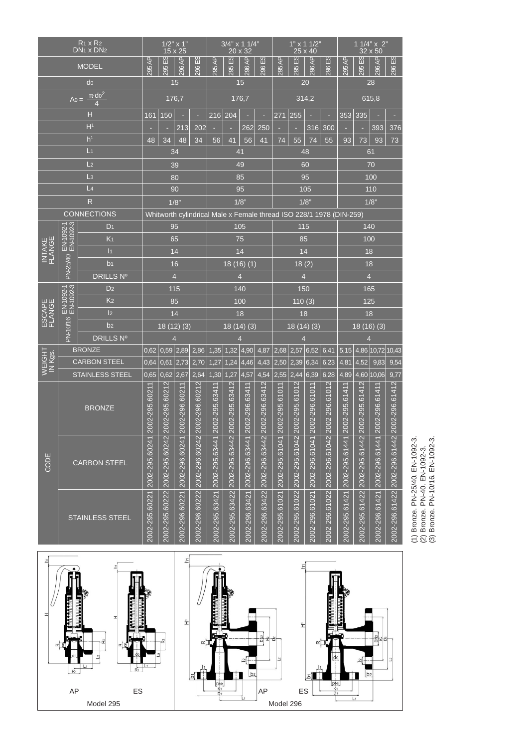| $R_1 \times R_2$<br>DN <sub>1</sub> x DN <sub>2</sub> |                        | $1/2$ " x 1"<br>15 x 25     |                              |                               | $3/4$ " x 1 1/4"<br>20 x 32  |                                                                     |                              | $1"$ x 1 1/2"<br>25 x 40      |                              |                                | 1 1/4" x 2"<br>32 x 50       |                               |                               |                               |                              |                               |                              |                               |                                                                                                       |
|-------------------------------------------------------|------------------------|-----------------------------|------------------------------|-------------------------------|------------------------------|---------------------------------------------------------------------|------------------------------|-------------------------------|------------------------------|--------------------------------|------------------------------|-------------------------------|-------------------------------|-------------------------------|------------------------------|-------------------------------|------------------------------|-------------------------------|-------------------------------------------------------------------------------------------------------|
|                                                       | <b>MODEL</b>           |                             | 295 AP                       | <u>없</u><br>295               | 296 AP                       | ය<br>ਜ<br>296                                                       | 295 AP                       | ΞS<br>295                     | 296 AP                       | $\overline{53}$<br><b>2961</b> | 295 AP                       | $\overline{3}$<br>295         | $\overline{4}$<br>296         | $\frac{1}{2}$<br>296          | 295 AP                       | $\frac{1}{2}$<br>295          | दे<br>296.                   | $\frac{1}{2}$<br>296          |                                                                                                       |
|                                                       |                        | do                          |                              |                               | 15                           |                                                                     |                              | 15                            |                              |                                |                              | 20                            |                               |                               | 28                           |                               |                              |                               |                                                                                                       |
| $\pi \cdot d_0^2$<br>$A_0 =$<br>$\overline{4}$        |                        | 176,7                       |                              |                               | 176,7                        |                                                                     |                              |                               | 314,2                        |                                |                              | 615,8                         |                               |                               |                              |                               |                              |                               |                                                                                                       |
|                                                       |                        | н                           | 161                          | 150                           |                              | ٠                                                                   | 216 204                      |                               |                              | ×                              | 271                          | 255<br>٠<br>٠                 |                               |                               | 335<br>353                   |                               |                              |                               |                                                                                                       |
|                                                       |                        | H <sup>1</sup>              |                              |                               | 213                          | 202                                                                 |                              |                               | 262                          | 250                            |                              | ٠                             |                               | 316 300                       |                              |                               | 393                          | 376                           |                                                                                                       |
|                                                       |                        | h <sup>1</sup>              | 48                           | 34                            | 48                           | 34                                                                  | 56                           | 41                            | 56                           | 41                             | 74                           | 55                            | 74                            | 55                            | 93                           | 73                            | 93                           | 73                            |                                                                                                       |
|                                                       |                        | L <sub>1</sub>              |                              |                               | 34                           |                                                                     |                              |                               | 41                           |                                |                              |                               | 48                            |                               |                              |                               | 61                           |                               |                                                                                                       |
|                                                       |                        | L <sub>2</sub>              |                              |                               | 39                           |                                                                     |                              |                               | 49                           |                                |                              |                               | 60                            |                               |                              |                               | 70                           |                               |                                                                                                       |
|                                                       |                        | $\mathsf{L}3$               |                              |                               | 80                           |                                                                     |                              |                               | 85                           |                                |                              |                               | 95                            |                               |                              |                               | 100                          |                               |                                                                                                       |
|                                                       |                        | L <sub>4</sub>              |                              |                               | 90                           |                                                                     |                              |                               | 95                           |                                |                              |                               | 105                           |                               |                              |                               | 110                          |                               |                                                                                                       |
|                                                       |                        | $\mathsf{R}$                |                              |                               | 1/8"                         |                                                                     |                              |                               | 1/8"                         |                                |                              |                               | 1/8"                          |                               |                              |                               | 1/8"                         |                               |                                                                                                       |
|                                                       |                        | <b>CONNECTIONS</b>          |                              |                               |                              | Whitworth cylindrical Male x Female thread ISO 228/1 1978 (DIN-259) |                              |                               |                              |                                |                              |                               |                               |                               |                              |                               |                              |                               |                                                                                                       |
|                                                       | EN-1092-1<br>EN-1092-3 | D <sub>1</sub>              |                              |                               | 95                           |                                                                     |                              |                               | 105                          |                                |                              | 115                           |                               |                               |                              |                               | 140                          |                               |                                                                                                       |
|                                                       |                        | K <sub>1</sub>              |                              |                               | 65                           |                                                                     |                              |                               | 75                           |                                |                              | 85                            |                               |                               |                              | 100                           |                              |                               |                                                                                                       |
| INTAKE<br>FLANGE                                      |                        | 1                           |                              |                               | 14                           |                                                                     |                              |                               | 14                           |                                |                              | 14                            |                               |                               |                              | 18                            |                              |                               |                                                                                                       |
|                                                       | PN-25/40               | b <sub>1</sub>              | 16                           |                               |                              | 18(16)(1)                                                           |                              |                               |                              | 18(2)                          |                              |                               |                               |                               | 18                           |                               |                              |                               |                                                                                                       |
|                                                       |                        | <b>DRILLS Nº</b>            | $\overline{4}$               |                               |                              |                                                                     |                              | $\overline{4}$                |                              |                                |                              | $\overline{4}$                |                               |                               | $\overline{4}$               |                               |                              |                               |                                                                                                       |
|                                                       | EN-1092-1              | D <sub>2</sub>              | 115                          |                               |                              |                                                                     | 140                          |                               |                              | 150                            |                              |                               | 165                           |                               |                              |                               |                              |                               |                                                                                                       |
|                                                       |                        | K <sub>2</sub>              | 85                           |                               |                              | 100                                                                 |                              |                               | 110(3)                       |                                |                              | 125                           |                               |                               |                              |                               |                              |                               |                                                                                                       |
| ESCAPE  <br>FLANGE                                    |                        | 2                           | 14                           |                               |                              | 18                                                                  |                              |                               | 18                           |                                |                              | 18                            |                               |                               |                              |                               |                              |                               |                                                                                                       |
|                                                       | PN-10/16               | b <sub>2</sub>              |                              | 18(12)(3)                     |                              |                                                                     | 18(14)(3)                    |                               |                              | 18(14)(3)                      |                              |                               | 18(16)(3)                     |                               |                              |                               |                              |                               |                                                                                                       |
|                                                       |                        | DRILLS Nº<br>$\overline{4}$ |                              |                               | $\overline{4}$               |                                                                     |                              | $\overline{4}$                |                              |                                | $\overline{4}$               |                               |                               |                               |                              |                               |                              |                               |                                                                                                       |
|                                                       |                        | <b>BRONZE</b>               | 0,62                         |                               | 0,59 2,89                    | 2,86                                                                | 1,35                         |                               | $1,32$ 4,90                  | 4,87                           |                              | $2,68$ 2,57 6,52              |                               | 6,41                          | 5,15                         |                               | 4,86   10,72                 | 10,43                         |                                                                                                       |
| WEIGHT<br>IN Kgs.                                     |                        | <b>CARBON STEEL</b>         | 0,64                         |                               | $0,61$ 2,73                  | 2,70                                                                | 1,27                         |                               | $1,24$ 4,46                  |                                | $4,43$ 2,50 2,39 6,34        |                               |                               | 6,23                          | 4,81                         | 4,52                          | 9,83                         | 9,54                          |                                                                                                       |
|                                                       |                        | <b>STAINLESS STEEL</b>      | 0.65                         | 0,62                          | 2,67                         | 2,64                                                                | 1,30                         | 1,27                          | 4,57                         | 4,54                           | 2,55                         | 2,44                          | 6,39                          | 6,28                          | 4,89                         | 4,60                          | 10,06                        | 9,77                          |                                                                                                       |
|                                                       |                        | <b>BRONZE</b>               | 2002-295.60211               | 2002-295.60212                | 2002-296.60211               | 2002-296.60212                                                      | 2002-295.63411               | 2002-295.63412                | 2002-296.63411               | 2002-296.63412                 | 2002-295.61011               | 2002-295.61012                | 2002-296.61011                | 2002-296.61012                | 2002-295.61411               | 2002-295.61412                | 2002-296.61411               | 2002-296.61412                |                                                                                                       |
| CODE                                                  |                        | <b>CARBON STEEL</b>         |                              | 2002-295.60222 2002-295.60242 |                              | 2002-296.60222 2002-296.60242                                       |                              | 2002-295.63422 2002-295.63442 |                              | 2002-296.63422 2002-296.63442  |                              | 2002-295.61022 2002-295.61042 |                               | 2002-296.61022 2002-296.61042 |                              | 2002-295.61422 2002-295.61442 |                              | 2002-296.61422 2002-296.61442 | (1) Bronze. PN-25/40. EN-1092-3.<br>(2) Bronze. PN-40. EN-1092-3.<br>(3) Bronze. PN-10/16. EN-1092-3. |
|                                                       | STAINLESS STEEL        |                             | 2002-295.60221 2002-295.6024 |                               | 2002-296.60221 2002-296.6024 |                                                                     | 2002-295.63421 2002-295.6344 |                               | 2002-296.63421 2002-296.6344 |                                | 2002-295.61021 2002-295.6104 |                               | 2002-296.61021 2002-296.61041 |                               | 2002-295.61421 2002-295.6144 |                               | 2002-296.61421 2002-296.6144 |                               |                                                                                                       |